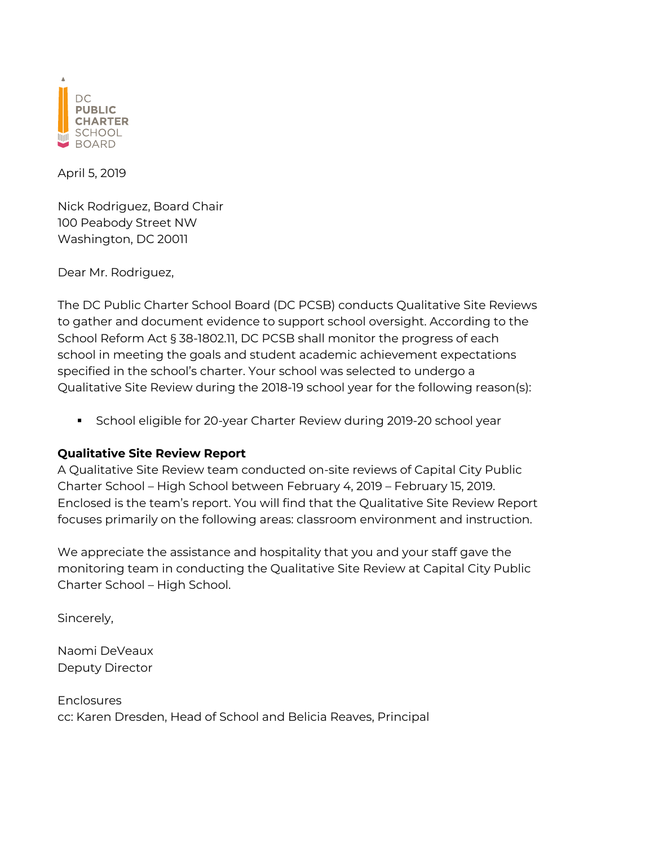

April 5, 2019

Nick Rodriguez, Board Chair 100 Peabody Street NW Washington, DC 20011

Dear Mr. Rodriguez,

The DC Public Charter School Board (DC PCSB) conducts Qualitative Site Reviews to gather and document evidence to support school oversight. According to the School Reform Act § 38-1802.11, DC PCSB shall monitor the progress of each school in meeting the goals and student academic achievement expectations specified in the school's charter. Your school was selected to undergo a Qualitative Site Review during the 2018-19 school year for the following reason(s):

§ School eligible for 20-year Charter Review during 2019-20 school year

### **Qualitative Site Review Report**

A Qualitative Site Review team conducted on-site reviews of Capital City Public Charter School – High School between February 4, 2019 – February 15, 2019. Enclosed is the team's report. You will find that the Qualitative Site Review Report focuses primarily on the following areas: classroom environment and instruction.

We appreciate the assistance and hospitality that you and your staff gave the monitoring team in conducting the Qualitative Site Review at Capital City Public Charter School – High School.

Sincerely,

Naomi DeVeaux Deputy Director

**Enclosures** cc: Karen Dresden, Head of School and Belicia Reaves, Principal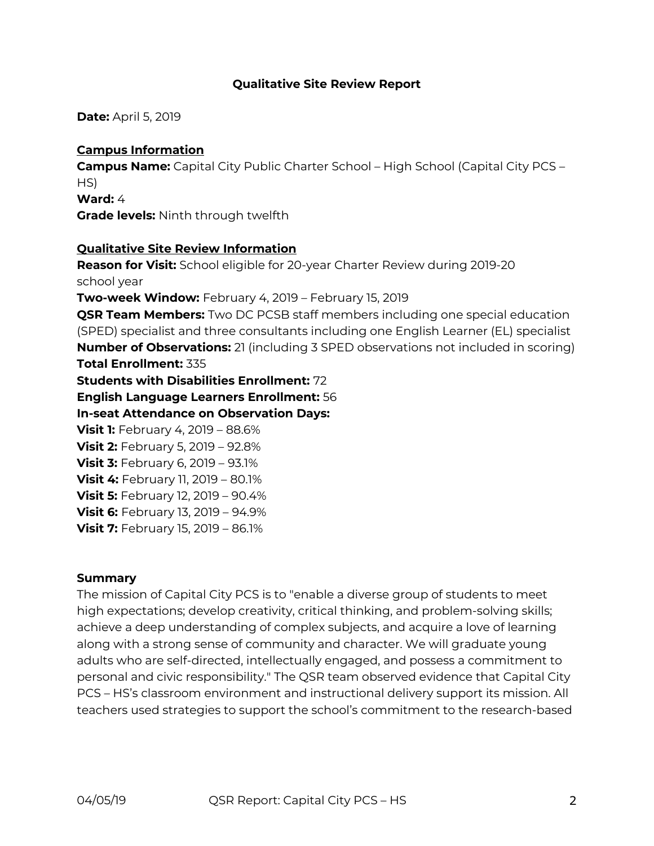#### **Qualitative Site Review Report**

**Date:** April 5, 2019

#### **Campus Information**

**Campus Name:** Capital City Public Charter School – High School (Capital City PCS – HS)

**Ward:** 4

**Grade levels:** Ninth through twelfth

#### **Qualitative Site Review Information**

**Reason for Visit:** School eligible for 20-year Charter Review during 2019-20 school year **Two-week Window:** February 4, 2019 – February 15, 2019 **QSR Team Members:** Two DC PCSB staff members including one special education (SPED) specialist and three consultants including one English Learner (EL) specialist **Number of Observations:** 21 (including 3 SPED observations not included in scoring) **Total Enrollment:** 335 **Students with Disabilities Enrollment:** 72 **English Language Learners Enrollment:** 56 **In-seat Attendance on Observation Days: Visit 1:** February 4, 2019 – 88.6% **Visit 2:** February 5, 2019 – 92.8% **Visit 3:** February 6, 2019 – 93.1% **Visit 4:** February 11, 2019 – 80.1% **Visit 5:** February 12, 2019 – 90.4% **Visit 6:** February 13, 2019 – 94.9% **Visit 7: February 15, 2019 - 86.1%** 

#### **Summary**

The mission of Capital City PCS is to "enable a diverse group of students to meet high expectations; develop creativity, critical thinking, and problem-solving skills; achieve a deep understanding of complex subjects, and acquire a love of learning along with a strong sense of community and character. We will graduate young adults who are self-directed, intellectually engaged, and possess a commitment to personal and civic responsibility." The QSR team observed evidence that Capital City PCS – HS's classroom environment and instructional delivery support its mission. All teachers used strategies to support the school's commitment to the research-based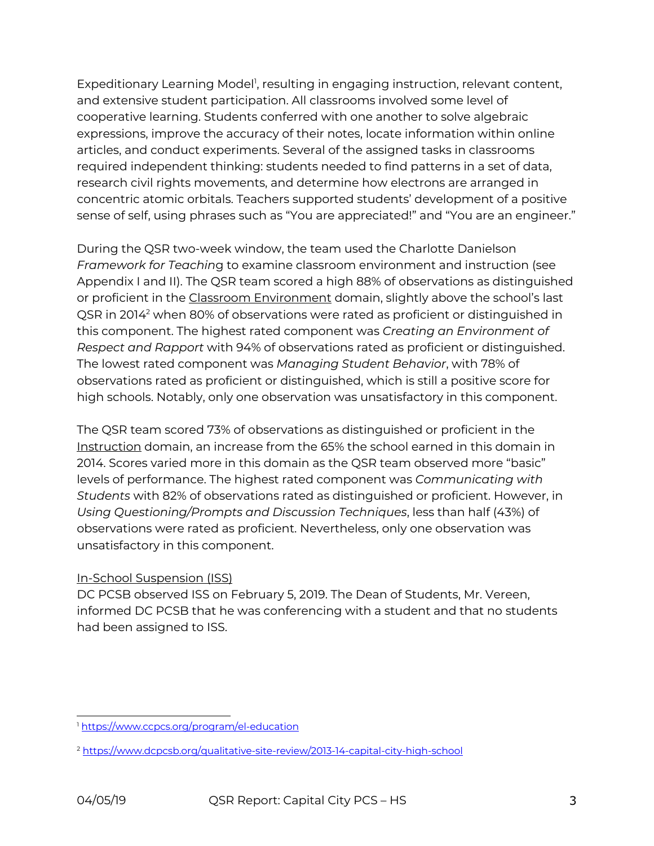Expeditionary Learning Model<sup>1</sup>, resulting in engaging instruction, relevant content, and extensive student participation. All classrooms involved some level of cooperative learning. Students conferred with one another to solve algebraic expressions, improve the accuracy of their notes, locate information within online articles, and conduct experiments. Several of the assigned tasks in classrooms required independent thinking: students needed to find patterns in a set of data, research civil rights movements, and determine how electrons are arranged in concentric atomic orbitals. Teachers supported students' development of a positive sense of self, using phrases such as "You are appreciated!" and "You are an engineer."

During the QSR two-week window, the team used the Charlotte Danielson *Framework for Teachin*g to examine classroom environment and instruction (see Appendix I and II). The QSR team scored a high 88% of observations as distinguished or proficient in the Classroom Environment domain, slightly above the school's last QSR in 20142 when 80% of observations were rated as proficient or distinguished in this component. The highest rated component was *Creating an Environment of Respect and Rapport* with 94% of observations rated as proficient or distinguished. The lowest rated component was *Managing Student Behavior*, with 78% of observations rated as proficient or distinguished, which is still a positive score for high schools. Notably, only one observation was unsatisfactory in this component.

The QSR team scored 73% of observations as distinguished or proficient in the Instruction domain, an increase from the 65% the school earned in this domain in 2014. Scores varied more in this domain as the QSR team observed more "basic" levels of performance. The highest rated component was *Communicating with Students* with 82% of observations rated as distinguished or proficient. However, in *Using Questioning/Prompts and Discussion Techniques*, less than half (43%) of observations were rated as proficient. Nevertheless, only one observation was unsatisfactory in this component.

### In-School Suspension (ISS)

DC PCSB observed ISS on February 5, 2019. The Dean of Students, Mr. Vereen, informed DC PCSB that he was conferencing with a student and that no students had been assigned to ISS.

<sup>1</sup> https://www.ccpcs.org/program/el-education

<sup>2</sup> https://www.dcpcsb.org/qualitative-site-review/2013-14-capital-city-high-school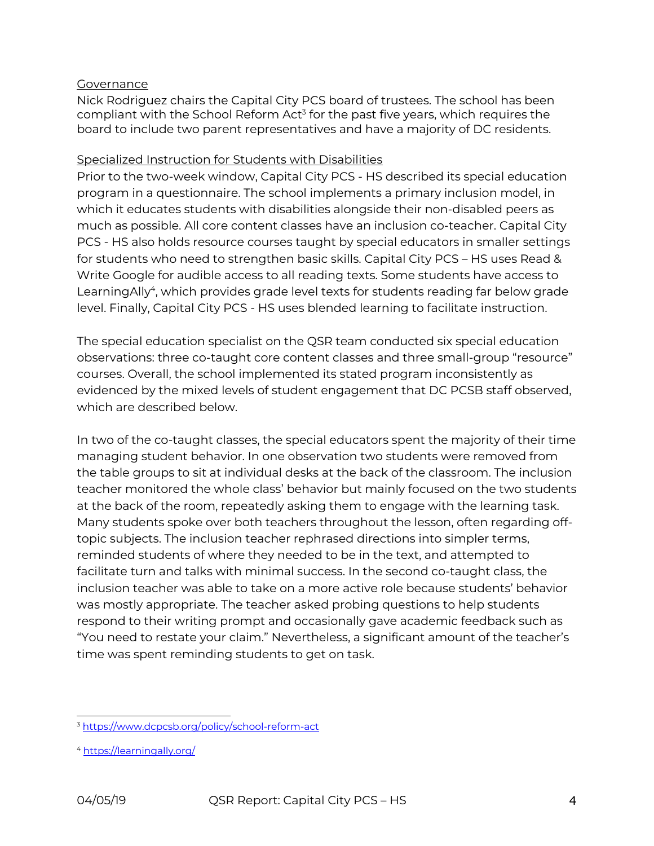#### Governance

Nick Rodriguez chairs the Capital City PCS board of trustees. The school has been compliant with the School Reform Act<sup>3</sup> for the past five years, which requires the board to include two parent representatives and have a majority of DC residents.

#### Specialized Instruction for Students with Disabilities

Prior to the two-week window, Capital City PCS - HS described its special education program in a questionnaire. The school implements a primary inclusion model, in which it educates students with disabilities alongside their non-disabled peers as much as possible. All core content classes have an inclusion co-teacher. Capital City PCS - HS also holds resource courses taught by special educators in smaller settings for students who need to strengthen basic skills. Capital City PCS – HS uses Read & Write Google for audible access to all reading texts. Some students have access to LearningAlly<sup>4</sup>, which provides grade level texts for students reading far below grade level. Finally, Capital City PCS - HS uses blended learning to facilitate instruction.

The special education specialist on the QSR team conducted six special education observations: three co-taught core content classes and three small-group "resource" courses. Overall, the school implemented its stated program inconsistently as evidenced by the mixed levels of student engagement that DC PCSB staff observed, which are described below.

In two of the co-taught classes, the special educators spent the majority of their time managing student behavior. In one observation two students were removed from the table groups to sit at individual desks at the back of the classroom. The inclusion teacher monitored the whole class' behavior but mainly focused on the two students at the back of the room, repeatedly asking them to engage with the learning task. Many students spoke over both teachers throughout the lesson, often regarding offtopic subjects. The inclusion teacher rephrased directions into simpler terms, reminded students of where they needed to be in the text, and attempted to facilitate turn and talks with minimal success. In the second co-taught class, the inclusion teacher was able to take on a more active role because students' behavior was mostly appropriate. The teacher asked probing questions to help students respond to their writing prompt and occasionally gave academic feedback such as "You need to restate your claim." Nevertheless, a significant amount of the teacher's time was spent reminding students to get on task.

<sup>3</sup> https://www.dcpcsb.org/policy/school-reform-act

<sup>4</sup> https://learningally.org/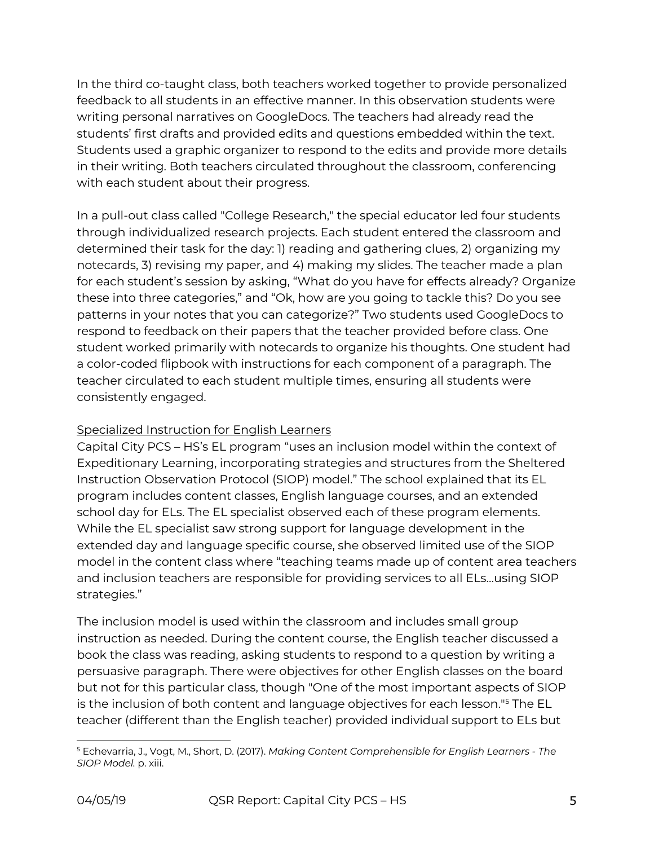In the third co-taught class, both teachers worked together to provide personalized feedback to all students in an effective manner. In this observation students were writing personal narratives on GoogleDocs. The teachers had already read the students' first drafts and provided edits and questions embedded within the text. Students used a graphic organizer to respond to the edits and provide more details in their writing. Both teachers circulated throughout the classroom, conferencing with each student about their progress.

In a pull-out class called "College Research," the special educator led four students through individualized research projects. Each student entered the classroom and determined their task for the day: 1) reading and gathering clues, 2) organizing my notecards, 3) revising my paper, and 4) making my slides. The teacher made a plan for each student's session by asking, "What do you have for effects already? Organize these into three categories," and "Ok, how are you going to tackle this? Do you see patterns in your notes that you can categorize?" Two students used GoogleDocs to respond to feedback on their papers that the teacher provided before class. One student worked primarily with notecards to organize his thoughts. One student had a color-coded flipbook with instructions for each component of a paragraph. The teacher circulated to each student multiple times, ensuring all students were consistently engaged.

## Specialized Instruction for English Learners

Capital City PCS – HS's EL program "uses an inclusion model within the context of Expeditionary Learning, incorporating strategies and structures from the Sheltered Instruction Observation Protocol (SIOP) model." The school explained that its EL program includes content classes, English language courses, and an extended school day for ELs. The EL specialist observed each of these program elements. While the EL specialist saw strong support for language development in the extended day and language specific course, she observed limited use of the SIOP model in the content class where "teaching teams made up of content area teachers and inclusion teachers are responsible for providing services to all ELs…using SIOP strategies."

The inclusion model is used within the classroom and includes small group instruction as needed. During the content course, the English teacher discussed a book the class was reading, asking students to respond to a question by writing a persuasive paragraph. There were objectives for other English classes on the board but not for this particular class, though "One of the most important aspects of SIOP is the inclusion of both content and language objectives for each lesson."5 The EL teacher (different than the English teacher) provided individual support to ELs but

<sup>5</sup> Echevarria, J., Vogt, M., Short, D. (2017). *Making Content Comprehensible for English Learners - The SIOP Model.* p. xiii.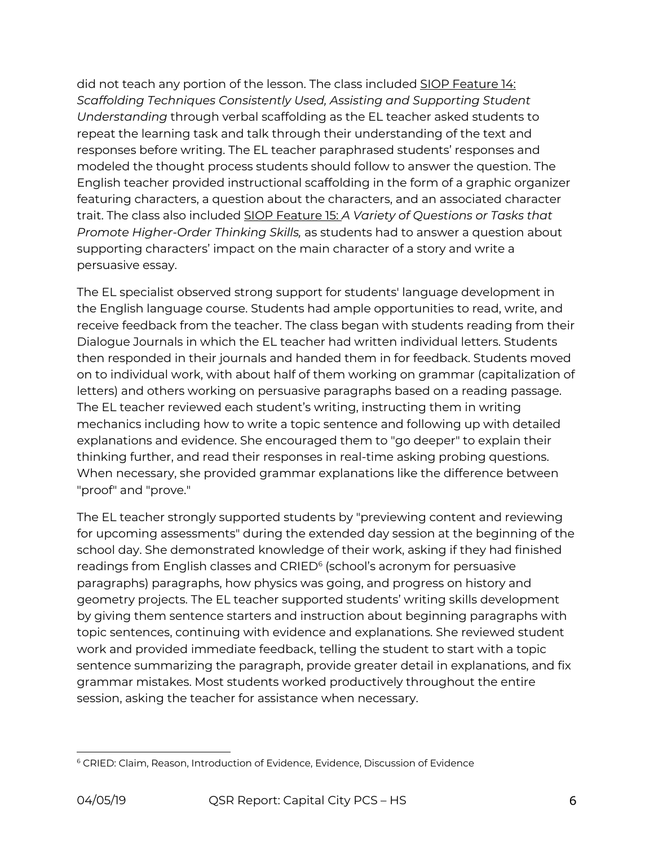did not teach any portion of the lesson. The class included SIOP Feature 14: *Scaffolding Techniques Consistently Used, Assisting and Supporting Student Understanding* through verbal scaffolding as the EL teacher asked students to repeat the learning task and talk through their understanding of the text and responses before writing. The EL teacher paraphrased students' responses and modeled the thought process students should follow to answer the question. The English teacher provided instructional scaffolding in the form of a graphic organizer featuring characters, a question about the characters, and an associated character trait. The class also included SIOP Feature 15: *A Variety of Questions or Tasks that Promote Higher-Order Thinking Skills,* as students had to answer a question about supporting characters' impact on the main character of a story and write a persuasive essay.

The EL specialist observed strong support for students' language development in the English language course. Students had ample opportunities to read, write, and receive feedback from the teacher. The class began with students reading from their Dialogue Journals in which the EL teacher had written individual letters. Students then responded in their journals and handed them in for feedback. Students moved on to individual work, with about half of them working on grammar (capitalization of letters) and others working on persuasive paragraphs based on a reading passage. The EL teacher reviewed each student's writing, instructing them in writing mechanics including how to write a topic sentence and following up with detailed explanations and evidence. She encouraged them to "go deeper" to explain their thinking further, and read their responses in real-time asking probing questions. When necessary, she provided grammar explanations like the difference between "proof" and "prove."

The EL teacher strongly supported students by "previewing content and reviewing for upcoming assessments" during the extended day session at the beginning of the school day. She demonstrated knowledge of their work, asking if they had finished readings from English classes and CRIED<sup>6</sup> (school's acronym for persuasive paragraphs) paragraphs, how physics was going, and progress on history and geometry projects. The EL teacher supported students' writing skills development by giving them sentence starters and instruction about beginning paragraphs with topic sentences, continuing with evidence and explanations. She reviewed student work and provided immediate feedback, telling the student to start with a topic sentence summarizing the paragraph, provide greater detail in explanations, and fix grammar mistakes. Most students worked productively throughout the entire session, asking the teacher for assistance when necessary.

<sup>6</sup> CRIED: Claim, Reason, Introduction of Evidence, Evidence, Discussion of Evidence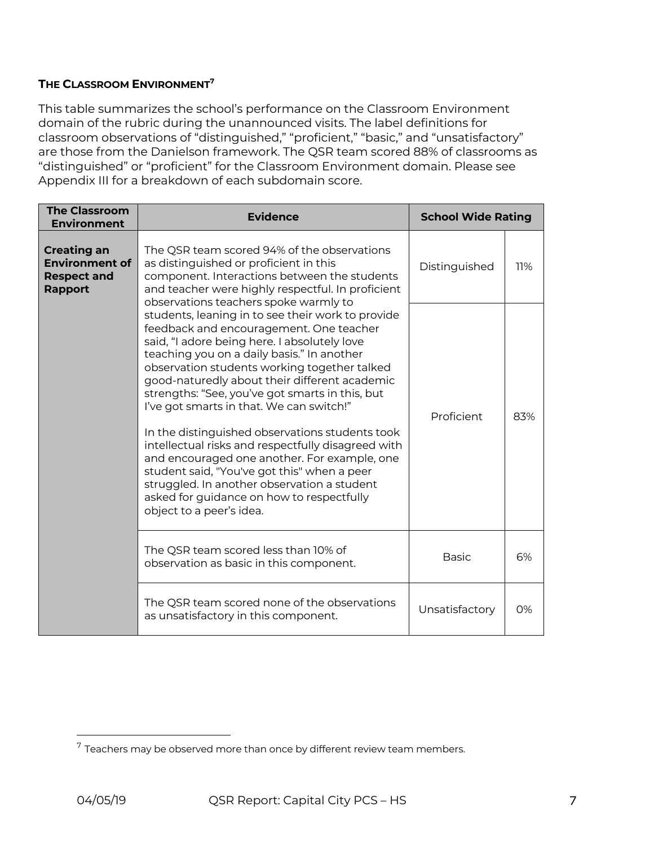#### **THE CLASSROOM ENVIRONMENT7**

This table summarizes the school's performance on the Classroom Environment domain of the rubric during the unannounced visits. The label definitions for classroom observations of "distinguished," "proficient," "basic," and "unsatisfactory" are those from the Danielson framework. The QSR team scored 88% of classrooms as "distinguished" or "proficient" for the Classroom Environment domain. Please see Appendix III for a breakdown of each subdomain score.

| <b>The Classroom</b><br><b>Environment</b>                                          | <b>Evidence</b>                                                                                                                                                                                                                                                                                                                                                                                                                                                                                                                                                                                                                                                                                                            | <b>School Wide Rating</b> |     |
|-------------------------------------------------------------------------------------|----------------------------------------------------------------------------------------------------------------------------------------------------------------------------------------------------------------------------------------------------------------------------------------------------------------------------------------------------------------------------------------------------------------------------------------------------------------------------------------------------------------------------------------------------------------------------------------------------------------------------------------------------------------------------------------------------------------------------|---------------------------|-----|
| <b>Creating an</b><br><b>Environment of</b><br><b>Respect and</b><br><b>Rapport</b> | The QSR team scored 94% of the observations<br>as distinguished or proficient in this<br>component. Interactions between the students<br>and teacher were highly respectful. In proficient<br>observations teachers spoke warmly to                                                                                                                                                                                                                                                                                                                                                                                                                                                                                        | Distinguished             | 11% |
|                                                                                     | students, leaning in to see their work to provide<br>feedback and encouragement. One teacher<br>said, "I adore being here. I absolutely love<br>teaching you on a daily basis." In another<br>observation students working together talked<br>good-naturedly about their different academic<br>strengths: "See, you've got smarts in this, but<br>I've got smarts in that. We can switch!"<br>In the distinguished observations students took<br>intellectual risks and respectfully disagreed with<br>and encouraged one another. For example, one<br>student said, "You've got this" when a peer<br>struggled. In another observation a student<br>asked for guidance on how to respectfully<br>object to a peer's idea. |                           | 83% |
|                                                                                     | The QSR team scored less than 10% of<br>observation as basic in this component.                                                                                                                                                                                                                                                                                                                                                                                                                                                                                                                                                                                                                                            | <b>Basic</b>              | 6%  |
|                                                                                     | The QSR team scored none of the observations<br>as unsatisfactory in this component.                                                                                                                                                                                                                                                                                                                                                                                                                                                                                                                                                                                                                                       | Unsatisfactory            | 0%  |

 $7$  Teachers may be observed more than once by different review team members.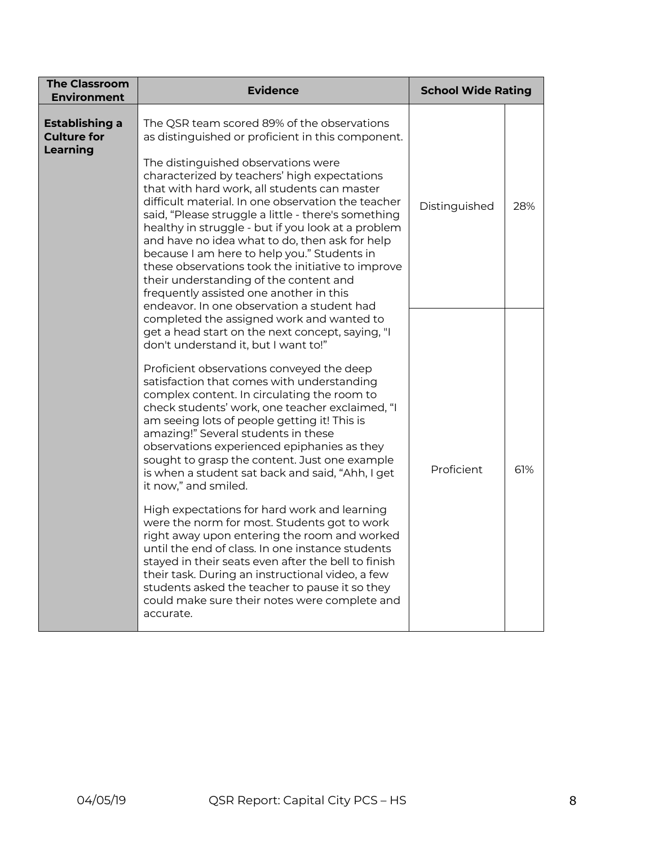| <b>The Classroom</b><br><b>Environment</b>                     | <b>Evidence</b>                                                                                                                                                                                                                                                                                                                                                                                                                                                                                                                                                                                                                                                                                                                                                                                                                                                                                                                                                                                                                      | <b>School Wide Rating</b> |     |
|----------------------------------------------------------------|--------------------------------------------------------------------------------------------------------------------------------------------------------------------------------------------------------------------------------------------------------------------------------------------------------------------------------------------------------------------------------------------------------------------------------------------------------------------------------------------------------------------------------------------------------------------------------------------------------------------------------------------------------------------------------------------------------------------------------------------------------------------------------------------------------------------------------------------------------------------------------------------------------------------------------------------------------------------------------------------------------------------------------------|---------------------------|-----|
| <b>Establishing a</b><br><b>Culture for</b><br><b>Learning</b> | The QSR team scored 89% of the observations<br>as distinguished or proficient in this component.<br>The distinguished observations were<br>characterized by teachers' high expectations<br>that with hard work, all students can master<br>difficult material. In one observation the teacher<br>said, "Please struggle a little - there's something<br>healthy in struggle - but if you look at a problem<br>and have no idea what to do, then ask for help<br>because I am here to help you." Students in<br>these observations took the initiative to improve<br>their understanding of the content and<br>frequently assisted one another in this<br>endeavor. In one observation a student had                                                                                                                                                                                                                                                                                                                                  | Distinguished             | 28% |
|                                                                | completed the assigned work and wanted to<br>get a head start on the next concept, saying, "I<br>don't understand it, but I want to!"<br>Proficient observations conveyed the deep<br>satisfaction that comes with understanding<br>complex content. In circulating the room to<br>check students' work, one teacher exclaimed, "I<br>am seeing lots of people getting it! This is<br>amazing!" Several students in these<br>observations experienced epiphanies as they<br>sought to grasp the content. Just one example<br>is when a student sat back and said, "Ahh, I get<br>it now," and smiled.<br>High expectations for hard work and learning<br>were the norm for most. Students got to work<br>right away upon entering the room and worked<br>until the end of class. In one instance students<br>stayed in their seats even after the bell to finish<br>their task. During an instructional video, a few<br>students asked the teacher to pause it so they<br>could make sure their notes were complete and<br>accurate. | Proficient                | 61% |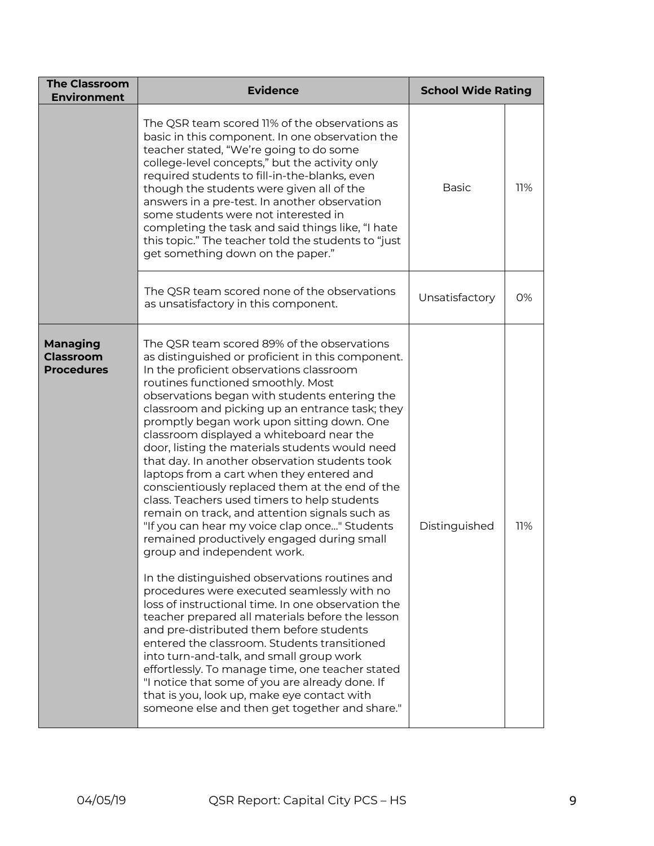| <b>The Classroom</b><br><b>Environment</b>        | <b>Evidence</b>                                                                                                                                                                                                                                                                                                                                                                                                                                                                                                                                                                                                                                                                                                                                                                                                                                                                                                                                                                                                                                                                                                                                                                                                                                                                                                                                                                   | <b>School Wide Rating</b> |     |
|---------------------------------------------------|-----------------------------------------------------------------------------------------------------------------------------------------------------------------------------------------------------------------------------------------------------------------------------------------------------------------------------------------------------------------------------------------------------------------------------------------------------------------------------------------------------------------------------------------------------------------------------------------------------------------------------------------------------------------------------------------------------------------------------------------------------------------------------------------------------------------------------------------------------------------------------------------------------------------------------------------------------------------------------------------------------------------------------------------------------------------------------------------------------------------------------------------------------------------------------------------------------------------------------------------------------------------------------------------------------------------------------------------------------------------------------------|---------------------------|-----|
|                                                   | The QSR team scored 11% of the observations as<br>basic in this component. In one observation the<br>teacher stated, "We're going to do some<br>college-level concepts," but the activity only<br>required students to fill-in-the-blanks, even<br>though the students were given all of the<br>answers in a pre-test. In another observation<br>some students were not interested in<br>completing the task and said things like, "I hate<br>this topic." The teacher told the students to "just<br>get something down on the paper."                                                                                                                                                                                                                                                                                                                                                                                                                                                                                                                                                                                                                                                                                                                                                                                                                                            | <b>Basic</b>              | 11% |
|                                                   | The QSR team scored none of the observations<br>as unsatisfactory in this component.                                                                                                                                                                                                                                                                                                                                                                                                                                                                                                                                                                                                                                                                                                                                                                                                                                                                                                                                                                                                                                                                                                                                                                                                                                                                                              | Unsatisfactory            | 0%  |
| Managing<br><b>Classroom</b><br><b>Procedures</b> | The QSR team scored 89% of the observations<br>as distinguished or proficient in this component.<br>In the proficient observations classroom<br>routines functioned smoothly. Most<br>observations began with students entering the<br>classroom and picking up an entrance task; they<br>promptly began work upon sitting down. One<br>classroom displayed a whiteboard near the<br>door, listing the materials students would need<br>that day. In another observation students took<br>laptops from a cart when they entered and<br>conscientiously replaced them at the end of the<br>class. Teachers used timers to help students<br>remain on track, and attention signals such as<br>"If you can hear my voice clap once" Students<br>remained productively engaged during small<br>group and independent work.<br>In the distinguished observations routines and<br>procedures were executed seamlessly with no<br>loss of instructional time. In one observation the<br>teacher prepared all materials before the lesson<br>and pre-distributed them before students<br>entered the classroom. Students transitioned<br>into turn-and-talk, and small group work<br>effortlessly. To manage time, one teacher stated<br>"I notice that some of you are already done. If<br>that is you, look up, make eye contact with<br>someone else and then get together and share." | Distinguished             | 11% |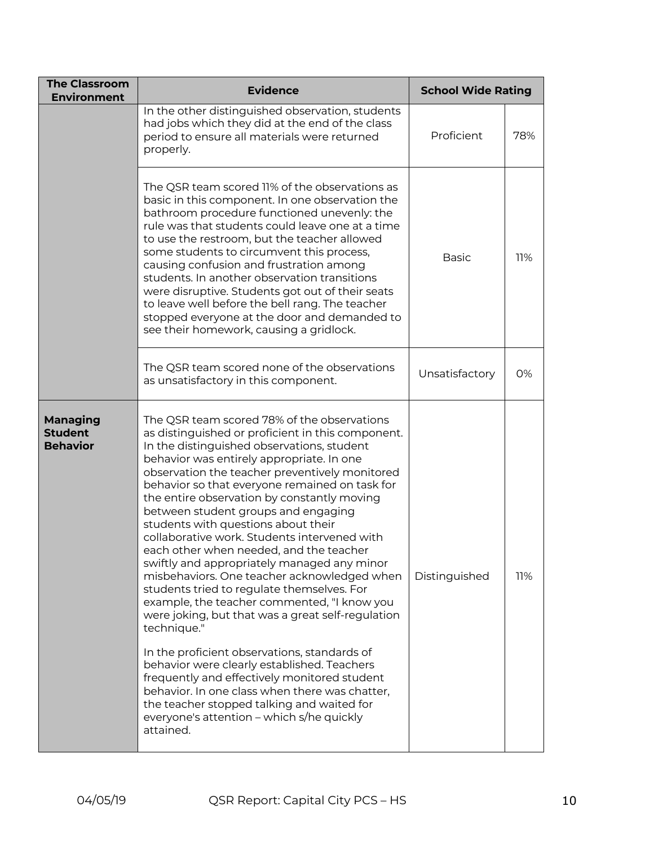| <b>The Classroom</b><br><b>Environment</b>    | <b>Evidence</b>                                                                                                                                                                                                                                                                                                                                                                                                                                                                                                                                                                                                                                                                                                                                                                                                                                                                                                                                                                                                                                                                                 | <b>School Wide Rating</b> |     |
|-----------------------------------------------|-------------------------------------------------------------------------------------------------------------------------------------------------------------------------------------------------------------------------------------------------------------------------------------------------------------------------------------------------------------------------------------------------------------------------------------------------------------------------------------------------------------------------------------------------------------------------------------------------------------------------------------------------------------------------------------------------------------------------------------------------------------------------------------------------------------------------------------------------------------------------------------------------------------------------------------------------------------------------------------------------------------------------------------------------------------------------------------------------|---------------------------|-----|
|                                               | In the other distinguished observation, students<br>had jobs which they did at the end of the class<br>period to ensure all materials were returned<br>properly.                                                                                                                                                                                                                                                                                                                                                                                                                                                                                                                                                                                                                                                                                                                                                                                                                                                                                                                                | Proficient                | 78% |
|                                               | The QSR team scored 11% of the observations as<br>basic in this component. In one observation the<br>bathroom procedure functioned unevenly: the<br>rule was that students could leave one at a time<br>to use the restroom, but the teacher allowed<br>some students to circumvent this process,<br>causing confusion and frustration among<br>students. In another observation transitions<br>were disruptive. Students got out of their seats<br>to leave well before the bell rang. The teacher<br>stopped everyone at the door and demanded to<br>see their homework, causing a gridlock.                                                                                                                                                                                                                                                                                                                                                                                                                                                                                                  | <b>Basic</b>              | 11% |
|                                               | The QSR team scored none of the observations<br>as unsatisfactory in this component.                                                                                                                                                                                                                                                                                                                                                                                                                                                                                                                                                                                                                                                                                                                                                                                                                                                                                                                                                                                                            | Unsatisfactory            | 0%  |
| Managing<br><b>Student</b><br><b>Behavior</b> | The QSR team scored 78% of the observations<br>as distinguished or proficient in this component.<br>In the distinguished observations, student<br>behavior was entirely appropriate. In one<br>observation the teacher preventively monitored<br>behavior so that everyone remained on task for<br>the entire observation by constantly moving<br>between student groups and engaging<br>students with questions about their<br>collaborative work. Students intervened with<br>each other when needed, and the teacher<br>swiftly and appropriately managed any minor<br>misbehaviors. One teacher acknowledged when<br>students tried to regulate themselves. For<br>example, the teacher commented, "I know you<br>were joking, but that was a great self-regulation<br>technique."<br>In the proficient observations, standards of<br>behavior were clearly established. Teachers<br>frequently and effectively monitored student<br>behavior. In one class when there was chatter,<br>the teacher stopped talking and waited for<br>everyone's attention – which s/he quickly<br>attained. | Distinguished             | 11% |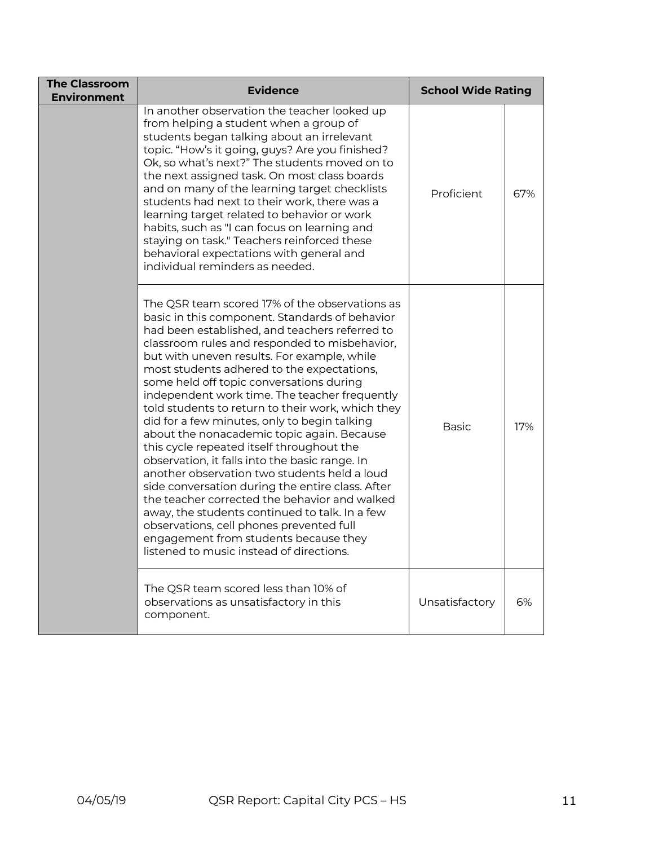| <b>The Classroom</b><br><b>Environment</b> | <b>Evidence</b>                                                                                                                                                                                                                                                                                                                                                                                                                                                                                                                                                                                                                                                                                                                                                                                                                                                                                                                                                                         | <b>School Wide Rating</b> |     |
|--------------------------------------------|-----------------------------------------------------------------------------------------------------------------------------------------------------------------------------------------------------------------------------------------------------------------------------------------------------------------------------------------------------------------------------------------------------------------------------------------------------------------------------------------------------------------------------------------------------------------------------------------------------------------------------------------------------------------------------------------------------------------------------------------------------------------------------------------------------------------------------------------------------------------------------------------------------------------------------------------------------------------------------------------|---------------------------|-----|
|                                            | In another observation the teacher looked up<br>from helping a student when a group of<br>students began talking about an irrelevant<br>topic. "How's it going, guys? Are you finished?<br>Ok, so what's next?" The students moved on to<br>the next assigned task. On most class boards<br>and on many of the learning target checklists<br>students had next to their work, there was a<br>learning target related to behavior or work<br>habits, such as "I can focus on learning and<br>staying on task." Teachers reinforced these<br>behavioral expectations with general and<br>individual reminders as needed.                                                                                                                                                                                                                                                                                                                                                                  | Proficient                | 67% |
|                                            | The QSR team scored 17% of the observations as<br>basic in this component. Standards of behavior<br>had been established, and teachers referred to<br>classroom rules and responded to misbehavior,<br>but with uneven results. For example, while<br>most students adhered to the expectations,<br>some held off topic conversations during<br>independent work time. The teacher frequently<br>told students to return to their work, which they<br>did for a few minutes, only to begin talking<br>about the nonacademic topic again. Because<br>this cycle repeated itself throughout the<br>observation, it falls into the basic range. In<br>another observation two students held a loud<br>side conversation during the entire class. After<br>the teacher corrected the behavior and walked<br>away, the students continued to talk. In a few<br>observations, cell phones prevented full<br>engagement from students because they<br>listened to music instead of directions. | <b>Basic</b>              | 17% |
|                                            | The QSR team scored less than 10% of<br>observations as unsatisfactory in this<br>component.                                                                                                                                                                                                                                                                                                                                                                                                                                                                                                                                                                                                                                                                                                                                                                                                                                                                                            | Unsatisfactory            | 6%  |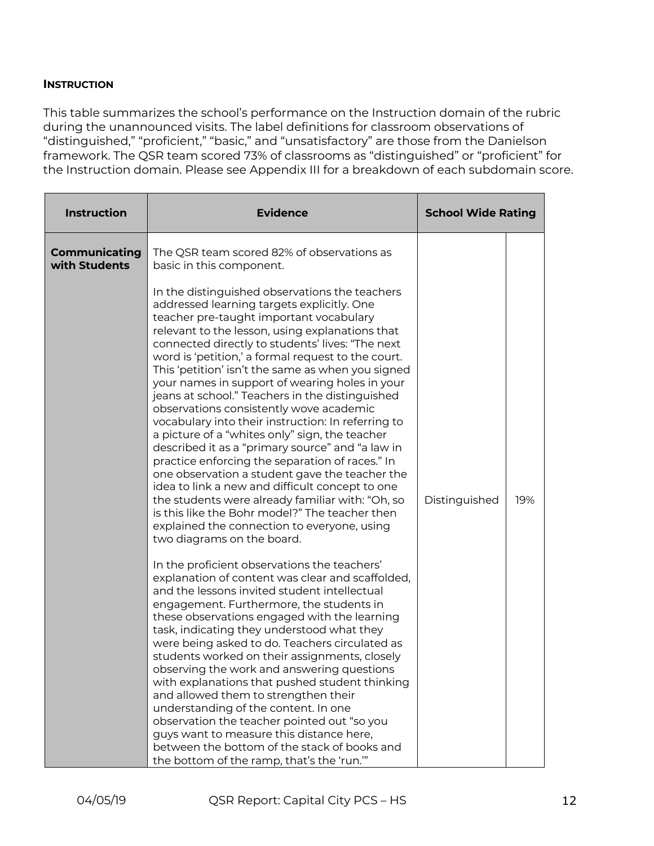#### **INSTRUCTION**

This table summarizes the school's performance on the Instruction domain of the rubric during the unannounced visits. The label definitions for classroom observations of "distinguished," "proficient," "basic," and "unsatisfactory" are those from the Danielson framework. The QSR team scored 73% of classrooms as "distinguished" or "proficient" for the Instruction domain. Please see Appendix III for a breakdown of each subdomain score.

| <b>Instruction</b>             | <b>Evidence</b>                                                                                                                                                                                                                                                                                                                                                                                                                                                                                                                                                                                                                                                                                                                                                                                                                                                                                                                                                                                                                                                                                                                                                                                                                                                                                                                                                                                                                                                                                                                                                                                                                                                                                                                                                                                                                                                     | <b>School Wide Rating</b> |     |
|--------------------------------|---------------------------------------------------------------------------------------------------------------------------------------------------------------------------------------------------------------------------------------------------------------------------------------------------------------------------------------------------------------------------------------------------------------------------------------------------------------------------------------------------------------------------------------------------------------------------------------------------------------------------------------------------------------------------------------------------------------------------------------------------------------------------------------------------------------------------------------------------------------------------------------------------------------------------------------------------------------------------------------------------------------------------------------------------------------------------------------------------------------------------------------------------------------------------------------------------------------------------------------------------------------------------------------------------------------------------------------------------------------------------------------------------------------------------------------------------------------------------------------------------------------------------------------------------------------------------------------------------------------------------------------------------------------------------------------------------------------------------------------------------------------------------------------------------------------------------------------------------------------------|---------------------------|-----|
| Communicating<br>with Students | The QSR team scored 82% of observations as<br>basic in this component.<br>In the distinguished observations the teachers<br>addressed learning targets explicitly. One<br>teacher pre-taught important vocabulary<br>relevant to the lesson, using explanations that<br>connected directly to students' lives: "The next<br>word is 'petition,' a formal request to the court.<br>This 'petition' isn't the same as when you signed<br>your names in support of wearing holes in your<br>jeans at school." Teachers in the distinguished<br>observations consistently wove academic<br>vocabulary into their instruction: In referring to<br>a picture of a "whites only" sign, the teacher<br>described it as a "primary source" and "a law in<br>practice enforcing the separation of races." In<br>one observation a student gave the teacher the<br>idea to link a new and difficult concept to one<br>the students were already familiar with: "Oh, so<br>is this like the Bohr model?" The teacher then<br>explained the connection to everyone, using<br>two diagrams on the board.<br>In the proficient observations the teachers'<br>explanation of content was clear and scaffolded,<br>and the lessons invited student intellectual<br>engagement. Furthermore, the students in<br>these observations engaged with the learning<br>task, indicating they understood what they<br>were being asked to do. Teachers circulated as<br>students worked on their assignments, closely<br>observing the work and answering questions<br>with explanations that pushed student thinking<br>and allowed them to strengthen their<br>understanding of the content. In one<br>observation the teacher pointed out "so you<br>guys want to measure this distance here,<br>between the bottom of the stack of books and<br>the bottom of the ramp, that's the 'run." | Distinguished             | 19% |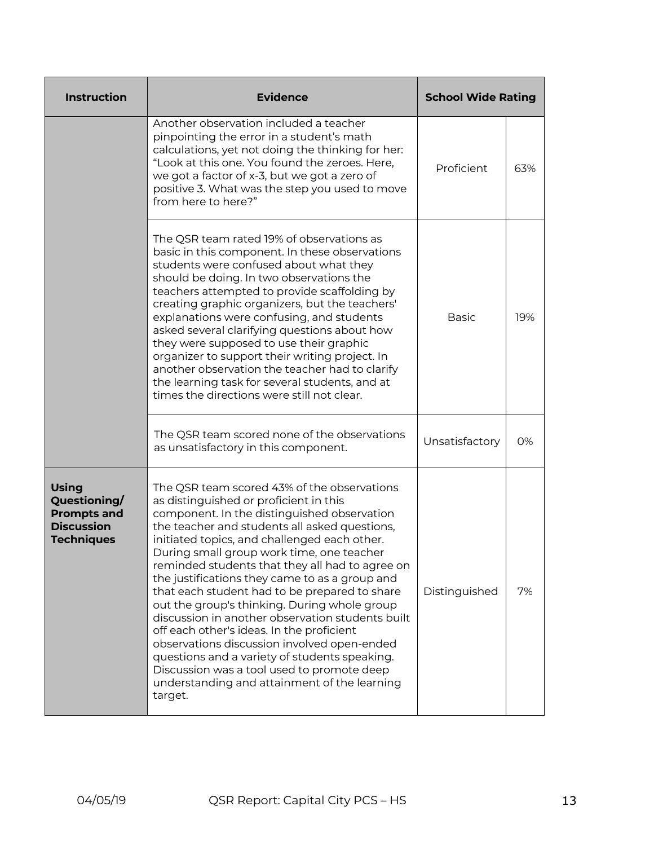| <b>Instruction</b>                                                                           | <b>Evidence</b>                                                                                                                                                                                                                                                                                                                                                                                                                                                                                                                                                                                                                                                                                                                                                                                    | <b>School Wide Rating</b> |     |
|----------------------------------------------------------------------------------------------|----------------------------------------------------------------------------------------------------------------------------------------------------------------------------------------------------------------------------------------------------------------------------------------------------------------------------------------------------------------------------------------------------------------------------------------------------------------------------------------------------------------------------------------------------------------------------------------------------------------------------------------------------------------------------------------------------------------------------------------------------------------------------------------------------|---------------------------|-----|
|                                                                                              | Another observation included a teacher<br>pinpointing the error in a student's math<br>calculations, yet not doing the thinking for her:<br>"Look at this one. You found the zeroes. Here,<br>we got a factor of x-3, but we got a zero of<br>positive 3. What was the step you used to move<br>from here to here?"                                                                                                                                                                                                                                                                                                                                                                                                                                                                                | Proficient                | 63% |
|                                                                                              | The QSR team rated 19% of observations as<br>basic in this component. In these observations<br>students were confused about what they<br>should be doing. In two observations the<br>teachers attempted to provide scaffolding by<br>creating graphic organizers, but the teachers'<br>explanations were confusing, and students<br>asked several clarifying questions about how<br>they were supposed to use their graphic<br>organizer to support their writing project. In<br>another observation the teacher had to clarify<br>the learning task for several students, and at<br>times the directions were still not clear.                                                                                                                                                                    | <b>Basic</b>              | 19% |
|                                                                                              | The QSR team scored none of the observations<br>as unsatisfactory in this component.                                                                                                                                                                                                                                                                                                                                                                                                                                                                                                                                                                                                                                                                                                               |                           | 0%  |
| <b>Using</b><br>Questioning/<br><b>Prompts and</b><br><b>Discussion</b><br><b>Techniques</b> | The QSR team scored 43% of the observations<br>as distinguished or proficient in this<br>component. In the distinguished observation<br>the teacher and students all asked questions,<br>initiated topics, and challenged each other.<br>During small group work time, one teacher<br>reminded students that they all had to agree on<br>the justifications they came to as a group and<br>that each student had to be prepared to share<br>out the group's thinking. During whole group<br>discussion in another observation students built<br>off each other's ideas. In the proficient<br>observations discussion involved open-ended<br>questions and a variety of students speaking.<br>Discussion was a tool used to promote deep<br>understanding and attainment of the learning<br>target. | Distinguished             | 7%  |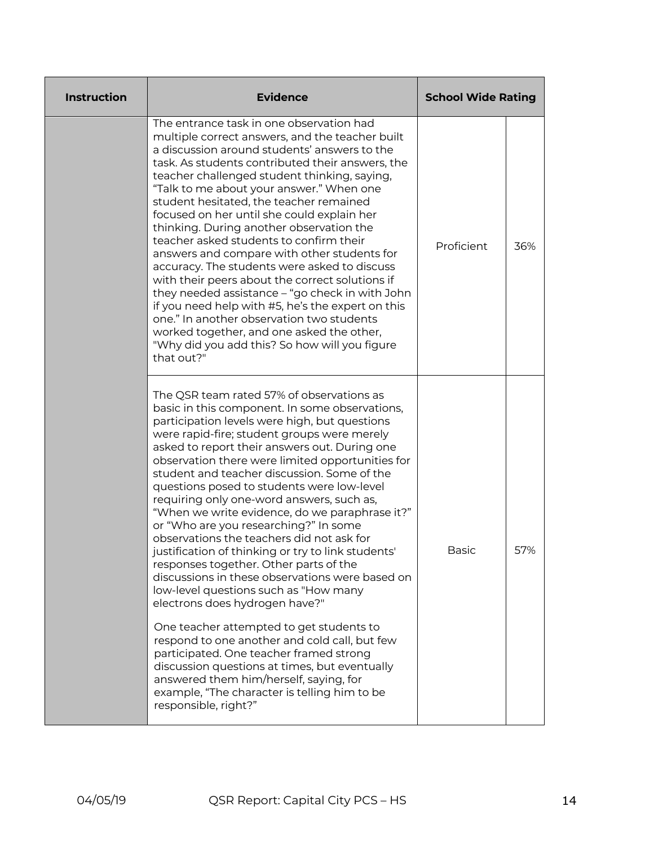| <b>Instruction</b> | <b>Evidence</b>                                                                                                                                                                                                                                                                                                                                                                                                                                                                                                                                                                                                                                                                                                                                                                                                                                                                                                                                                                                                                                                                                                             | <b>School Wide Rating</b> |     |
|--------------------|-----------------------------------------------------------------------------------------------------------------------------------------------------------------------------------------------------------------------------------------------------------------------------------------------------------------------------------------------------------------------------------------------------------------------------------------------------------------------------------------------------------------------------------------------------------------------------------------------------------------------------------------------------------------------------------------------------------------------------------------------------------------------------------------------------------------------------------------------------------------------------------------------------------------------------------------------------------------------------------------------------------------------------------------------------------------------------------------------------------------------------|---------------------------|-----|
|                    | The entrance task in one observation had<br>multiple correct answers, and the teacher built<br>a discussion around students' answers to the<br>task. As students contributed their answers, the<br>teacher challenged student thinking, saying,<br>"Talk to me about your answer." When one<br>student hesitated, the teacher remained<br>focused on her until she could explain her<br>thinking. During another observation the<br>teacher asked students to confirm their<br>answers and compare with other students for<br>accuracy. The students were asked to discuss<br>with their peers about the correct solutions if<br>they needed assistance – "go check in with John<br>if you need help with #5, he's the expert on this<br>one." In another observation two students<br>worked together, and one asked the other,<br>"Why did you add this? So how will you figure<br>that out?"                                                                                                                                                                                                                              | Proficient                | 36% |
|                    | The QSR team rated 57% of observations as<br>basic in this component. In some observations,<br>participation levels were high, but questions<br>were rapid-fire; student groups were merely<br>asked to report their answers out. During one<br>observation there were limited opportunities for<br>student and teacher discussion. Some of the<br>questions posed to students were low-level<br>requiring only one-word answers, such as,<br>"When we write evidence, do we paraphrase it?"<br>or "Who are you researching?" In some<br>observations the teachers did not ask for<br>justification of thinking or try to link students'<br>responses together. Other parts of the<br>discussions in these observations were based on<br>low-level questions such as "How many<br>electrons does hydrogen have?"<br>One teacher attempted to get students to<br>respond to one another and cold call, but few<br>participated. One teacher framed strong<br>discussion questions at times, but eventually<br>answered them him/herself, saying, for<br>example, "The character is telling him to be<br>responsible, right?" | Basic                     | 57% |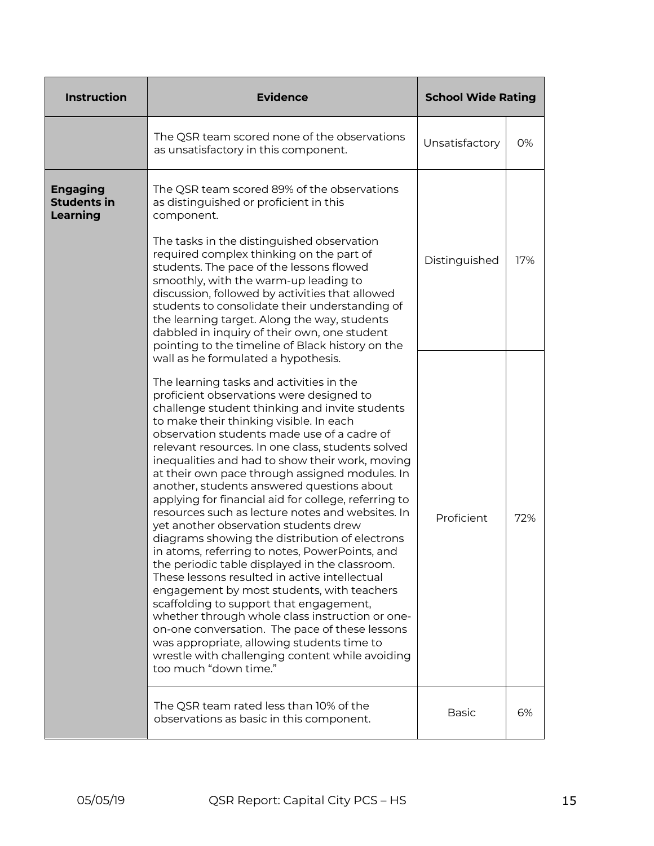| <b>Instruction</b>                                       | <b>Evidence</b>                                                                                                                                                                                                                                                                                                                                                                                                                                                                                                                                                                                                                                                                                                                                                                                                                                                                                                                                                                                                                                                                                                                                                                                                         | <b>School Wide Rating</b> |     |
|----------------------------------------------------------|-------------------------------------------------------------------------------------------------------------------------------------------------------------------------------------------------------------------------------------------------------------------------------------------------------------------------------------------------------------------------------------------------------------------------------------------------------------------------------------------------------------------------------------------------------------------------------------------------------------------------------------------------------------------------------------------------------------------------------------------------------------------------------------------------------------------------------------------------------------------------------------------------------------------------------------------------------------------------------------------------------------------------------------------------------------------------------------------------------------------------------------------------------------------------------------------------------------------------|---------------------------|-----|
|                                                          | The QSR team scored none of the observations<br>as unsatisfactory in this component.                                                                                                                                                                                                                                                                                                                                                                                                                                                                                                                                                                                                                                                                                                                                                                                                                                                                                                                                                                                                                                                                                                                                    | Unsatisfactory            | 0%  |
| <b>Engaging</b><br><b>Students in</b><br><b>Learning</b> | The QSR team scored 89% of the observations<br>as distinguished or proficient in this<br>component.<br>The tasks in the distinguished observation<br>required complex thinking on the part of<br>students. The pace of the lessons flowed<br>smoothly, with the warm-up leading to<br>discussion, followed by activities that allowed<br>students to consolidate their understanding of<br>the learning target. Along the way, students<br>dabbled in inquiry of their own, one student                                                                                                                                                                                                                                                                                                                                                                                                                                                                                                                                                                                                                                                                                                                                 |                           | 17% |
|                                                          | pointing to the timeline of Black history on the<br>wall as he formulated a hypothesis.<br>The learning tasks and activities in the<br>proficient observations were designed to<br>challenge student thinking and invite students<br>to make their thinking visible. In each<br>observation students made use of a cadre of<br>relevant resources. In one class, students solved<br>inequalities and had to show their work, moving<br>at their own pace through assigned modules. In<br>another, students answered questions about<br>applying for financial aid for college, referring to<br>resources such as lecture notes and websites. In<br>yet another observation students drew<br>diagrams showing the distribution of electrons<br>in atoms, referring to notes, PowerPoints, and<br>the periodic table displayed in the classroom.<br>These lessons resulted in active intellectual<br>engagement by most students, with teachers<br>scaffolding to support that engagement,<br>whether through whole class instruction or one-<br>on-one conversation. The pace of these lessons<br>was appropriate, allowing students time to<br>wrestle with challenging content while avoiding<br>too much "down time." |                           | 72% |
|                                                          | The QSR team rated less than 10% of the<br>observations as basic in this component.                                                                                                                                                                                                                                                                                                                                                                                                                                                                                                                                                                                                                                                                                                                                                                                                                                                                                                                                                                                                                                                                                                                                     | <b>Basic</b>              | 6%  |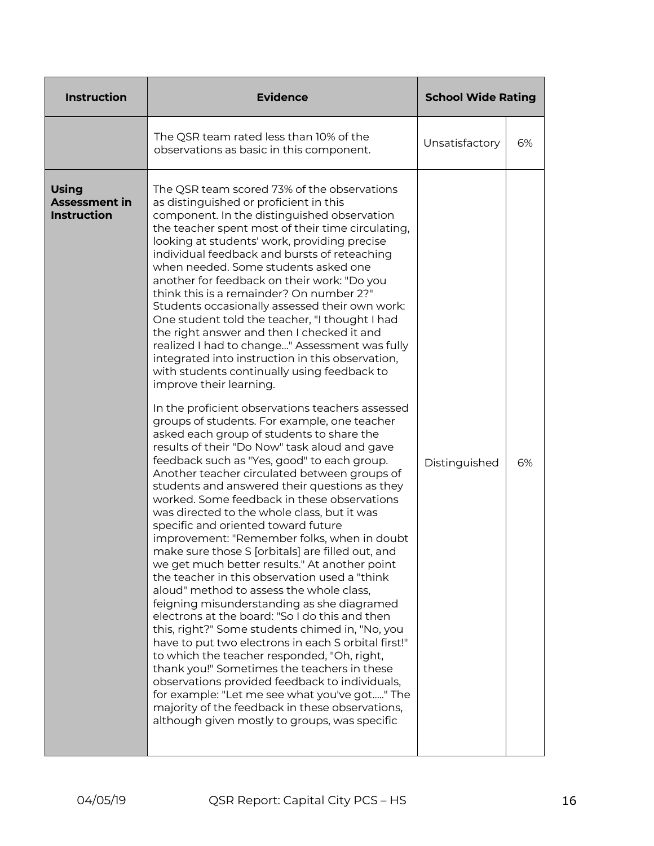| <b>Instruction</b>                                         | <b>Evidence</b>                                                                                                                                                                                                                                                                                                                                                                                                                                                                                                                                                                                                                                                                                                                                                                                                                                                                                                                                                                                                                                                                                                                                                                                                                                                                                                                                                                                                                                                                                                                                                                                                                                                                                                                                                                                                                                                                                                                                                                                                       | <b>School Wide Rating</b> |    |
|------------------------------------------------------------|-----------------------------------------------------------------------------------------------------------------------------------------------------------------------------------------------------------------------------------------------------------------------------------------------------------------------------------------------------------------------------------------------------------------------------------------------------------------------------------------------------------------------------------------------------------------------------------------------------------------------------------------------------------------------------------------------------------------------------------------------------------------------------------------------------------------------------------------------------------------------------------------------------------------------------------------------------------------------------------------------------------------------------------------------------------------------------------------------------------------------------------------------------------------------------------------------------------------------------------------------------------------------------------------------------------------------------------------------------------------------------------------------------------------------------------------------------------------------------------------------------------------------------------------------------------------------------------------------------------------------------------------------------------------------------------------------------------------------------------------------------------------------------------------------------------------------------------------------------------------------------------------------------------------------------------------------------------------------------------------------------------------------|---------------------------|----|
|                                                            | The QSR team rated less than 10% of the<br>observations as basic in this component.                                                                                                                                                                                                                                                                                                                                                                                                                                                                                                                                                                                                                                                                                                                                                                                                                                                                                                                                                                                                                                                                                                                                                                                                                                                                                                                                                                                                                                                                                                                                                                                                                                                                                                                                                                                                                                                                                                                                   | Unsatisfactory            | 6% |
| <b>Using</b><br><b>Assessment in</b><br><b>Instruction</b> | The QSR team scored 73% of the observations<br>as distinguished or proficient in this<br>component. In the distinguished observation<br>the teacher spent most of their time circulating,<br>looking at students' work, providing precise<br>individual feedback and bursts of reteaching<br>when needed. Some students asked one<br>another for feedback on their work: "Do you<br>think this is a remainder? On number 2?"<br>Students occasionally assessed their own work:<br>One student told the teacher, "I thought I had<br>the right answer and then I checked it and<br>realized I had to change" Assessment was fully<br>integrated into instruction in this observation,<br>with students continually using feedback to<br>improve their learning.<br>In the proficient observations teachers assessed<br>groups of students. For example, one teacher<br>asked each group of students to share the<br>results of their "Do Now" task aloud and gave<br>feedback such as "Yes, good" to each group.<br>Another teacher circulated between groups of<br>students and answered their questions as they<br>worked. Some feedback in these observations<br>was directed to the whole class, but it was<br>specific and oriented toward future<br>improvement: "Remember folks, when in doubt<br>make sure those S [orbitals] are filled out, and<br>we get much better results." At another point<br>the teacher in this observation used a "think<br>aloud" method to assess the whole class,<br>feigning misunderstanding as she diagramed<br>electrons at the board: "So I do this and then<br>this, right?" Some students chimed in, "No, you<br>have to put two electrons in each S orbital first!"<br>to which the teacher responded, "Oh, right,<br>thank you!" Sometimes the teachers in these<br>observations provided feedback to individuals,<br>for example: "Let me see what you've got" The<br>majority of the feedback in these observations,<br>although given mostly to groups, was specific | Distinguished             | 6% |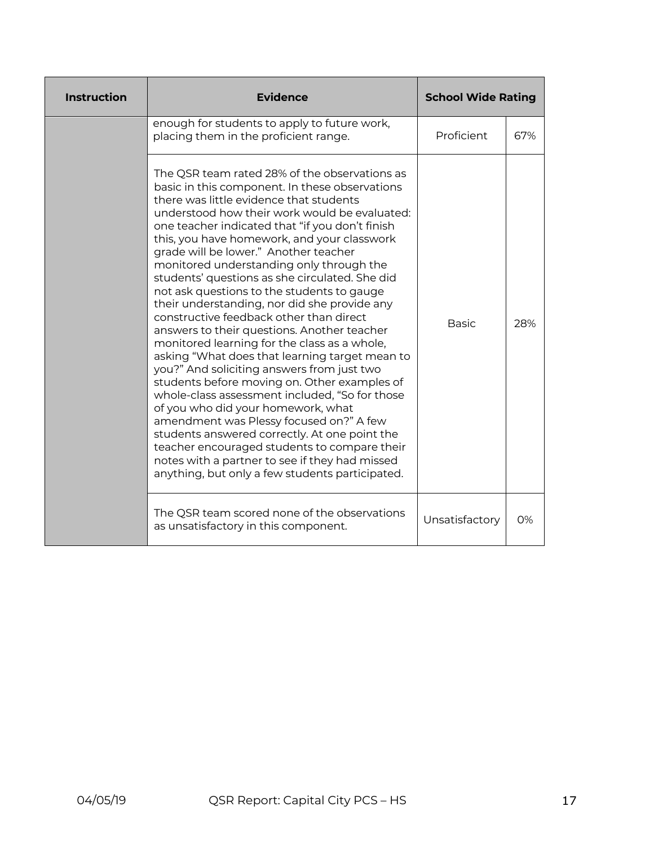| <b>Instruction</b> | <b>Evidence</b>                                                                                                                                                                                                                                                                                                                                                                                                                                                                                                                                                                                                                                                                                                                                                                                                                                                                                                                                                                                                                                                                                                                                                       | <b>School Wide Rating</b> |       |
|--------------------|-----------------------------------------------------------------------------------------------------------------------------------------------------------------------------------------------------------------------------------------------------------------------------------------------------------------------------------------------------------------------------------------------------------------------------------------------------------------------------------------------------------------------------------------------------------------------------------------------------------------------------------------------------------------------------------------------------------------------------------------------------------------------------------------------------------------------------------------------------------------------------------------------------------------------------------------------------------------------------------------------------------------------------------------------------------------------------------------------------------------------------------------------------------------------|---------------------------|-------|
|                    | enough for students to apply to future work,<br>placing them in the proficient range.                                                                                                                                                                                                                                                                                                                                                                                                                                                                                                                                                                                                                                                                                                                                                                                                                                                                                                                                                                                                                                                                                 | Proficient                | 67%   |
|                    | The QSR team rated 28% of the observations as<br>basic in this component. In these observations<br>there was little evidence that students<br>understood how their work would be evaluated:<br>one teacher indicated that "if you don't finish<br>this, you have homework, and your classwork<br>grade will be lower." Another teacher<br>monitored understanding only through the<br>students' questions as she circulated. She did<br>not ask questions to the students to gauge<br>their understanding, nor did she provide any<br>constructive feedback other than direct<br>answers to their questions. Another teacher<br>monitored learning for the class as a whole,<br>asking "What does that learning target mean to<br>you?" And soliciting answers from just two<br>students before moving on. Other examples of<br>whole-class assessment included, "So for those<br>of you who did your homework, what<br>amendment was Plessy focused on?" A few<br>students answered correctly. At one point the<br>teacher encouraged students to compare their<br>notes with a partner to see if they had missed<br>anything, but only a few students participated. | <b>Basic</b>              | 28%   |
|                    | The QSR team scored none of the observations<br>as unsatisfactory in this component.                                                                                                                                                                                                                                                                                                                                                                                                                                                                                                                                                                                                                                                                                                                                                                                                                                                                                                                                                                                                                                                                                  | Unsatisfactory            | $O\%$ |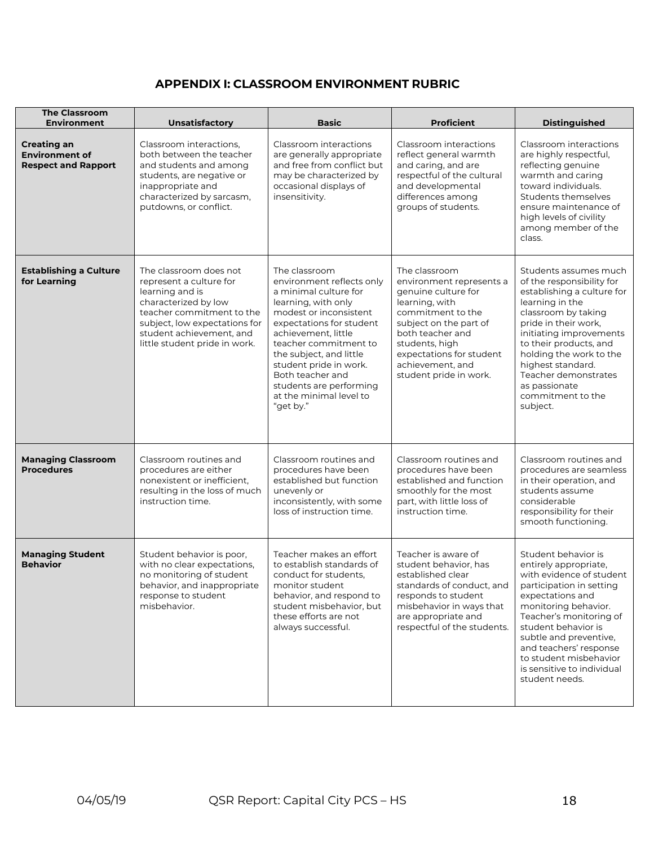## **APPENDIX I: CLASSROOM ENVIRONMENT RUBRIC**

| <b>The Classroom</b><br><b>Environment</b>                                | Unsatisfactory                                                                                                                                                                                                          | <b>Basic</b>                                                                                                                                                                                                                                                                                                                                 | <b>Proficient</b>                                                                                                                                                                                                                                 | <b>Distinguished</b>                                                                                                                                                                                                                                                                                                              |
|---------------------------------------------------------------------------|-------------------------------------------------------------------------------------------------------------------------------------------------------------------------------------------------------------------------|----------------------------------------------------------------------------------------------------------------------------------------------------------------------------------------------------------------------------------------------------------------------------------------------------------------------------------------------|---------------------------------------------------------------------------------------------------------------------------------------------------------------------------------------------------------------------------------------------------|-----------------------------------------------------------------------------------------------------------------------------------------------------------------------------------------------------------------------------------------------------------------------------------------------------------------------------------|
| <b>Creating an</b><br><b>Environment of</b><br><b>Respect and Rapport</b> | Classroom interactions,<br>both between the teacher<br>and students and among<br>students, are negative or<br>inappropriate and<br>characterized by sarcasm,<br>putdowns, or conflict.                                  | Classroom interactions<br>are generally appropriate<br>and free from conflict but<br>may be characterized by<br>occasional displays of<br>insensitivity.                                                                                                                                                                                     | Classroom interactions<br>reflect general warmth<br>and caring, and are<br>respectful of the cultural<br>and developmental<br>differences among<br>groups of students.                                                                            | Classroom interactions<br>are highly respectful,<br>reflecting genuine<br>warmth and caring<br>toward individuals.<br>Students themselves<br>ensure maintenance of<br>high levels of civility<br>among member of the<br>class.                                                                                                    |
| <b>Establishing a Culture</b><br>for Learning                             | The classroom does not<br>represent a culture for<br>learning and is<br>characterized by low<br>teacher commitment to the<br>subject, low expectations for<br>student achievement, and<br>little student pride in work. | The classroom<br>environment reflects only<br>a minimal culture for<br>learning, with only<br>modest or inconsistent<br>expectations for student<br>achievement, little<br>teacher commitment to<br>the subject, and little<br>student pride in work.<br>Both teacher and<br>students are performing<br>at the minimal level to<br>"get by." | The classroom<br>environment represents a<br>genuine culture for<br>learning, with<br>commitment to the<br>subject on the part of<br>both teacher and<br>students, high<br>expectations for student<br>achievement, and<br>student pride in work. | Students assumes much<br>of the responsibility for<br>establishing a culture for<br>learning in the<br>classroom by taking<br>pride in their work,<br>initiating improvements<br>to their products, and<br>holding the work to the<br>highest standard.<br>Teacher demonstrates<br>as passionate<br>commitment to the<br>subject. |
| <b>Managing Classroom</b><br><b>Procedures</b>                            | Classroom routines and<br>procedures are either<br>nonexistent or inefficient.<br>resulting in the loss of much<br>instruction time.                                                                                    | Classroom routines and<br>procedures have been<br>established but function<br>unevenly or<br>inconsistently, with some<br>loss of instruction time.                                                                                                                                                                                          | Classroom routines and<br>procedures have been<br>established and function<br>smoothly for the most<br>part, with little loss of<br>instruction time.                                                                                             | Classroom routines and<br>procedures are seamless<br>in their operation, and<br>students assume<br>considerable<br>responsibility for their<br>smooth functioning.                                                                                                                                                                |
| <b>Managing Student</b><br><b>Behavior</b>                                | Student behavior is poor,<br>with no clear expectations,<br>no monitoring of student<br>behavior, and inappropriate<br>response to student<br>misbehavior.                                                              | Teacher makes an effort<br>to establish standards of<br>conduct for students,<br>monitor student<br>behavior, and respond to<br>student misbehavior, but<br>these efforts are not<br>always successful.                                                                                                                                      | Teacher is aware of<br>student behavior, has<br>established clear<br>standards of conduct, and<br>responds to student<br>misbehavior in ways that<br>are appropriate and<br>respectful of the students.                                           | Student behavior is<br>entirely appropriate,<br>with evidence of student<br>participation in setting<br>expectations and<br>monitoring behavior.<br>Teacher's monitoring of<br>student behavior is<br>subtle and preventive,<br>and teachers' response<br>to student misbehavior<br>is sensitive to individual<br>student needs.  |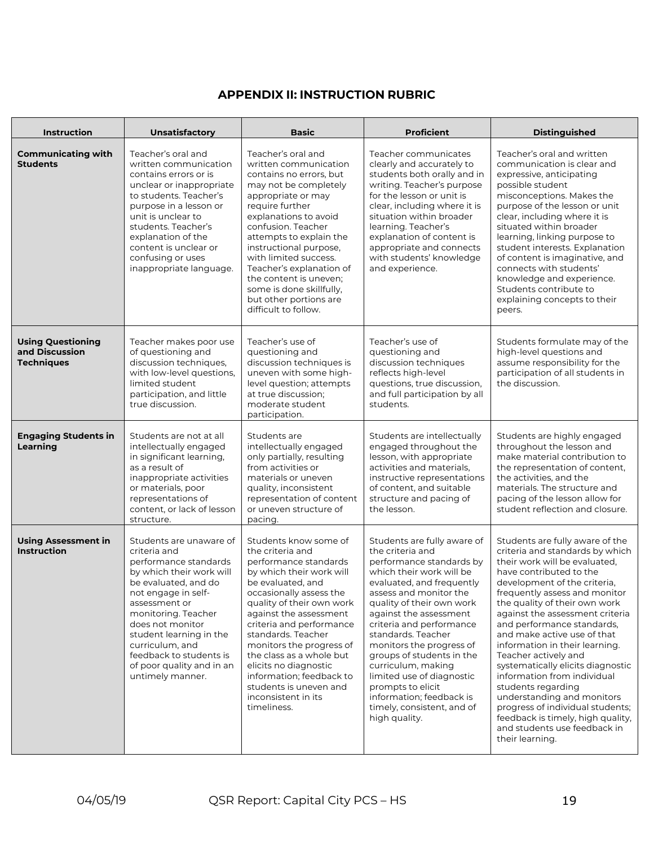## **APPENDIX II: INSTRUCTION RUBRIC**

| <b>Instruction</b>                                              | <b>Unsatisfactory</b>                                                                                                                                                                                                                                                                                                             | <b>Basic</b>                                                                                                                                                                                                                                                                                                                                                                                                                         | <b>Proficient</b>                                                                                                                                                                                                                                                                                                                                                                                                                                                                   | <b>Distinguished</b>                                                                                                                                                                                                                                                                                                                                                                                                                                                                                                                                                                                                                           |  |
|-----------------------------------------------------------------|-----------------------------------------------------------------------------------------------------------------------------------------------------------------------------------------------------------------------------------------------------------------------------------------------------------------------------------|--------------------------------------------------------------------------------------------------------------------------------------------------------------------------------------------------------------------------------------------------------------------------------------------------------------------------------------------------------------------------------------------------------------------------------------|-------------------------------------------------------------------------------------------------------------------------------------------------------------------------------------------------------------------------------------------------------------------------------------------------------------------------------------------------------------------------------------------------------------------------------------------------------------------------------------|------------------------------------------------------------------------------------------------------------------------------------------------------------------------------------------------------------------------------------------------------------------------------------------------------------------------------------------------------------------------------------------------------------------------------------------------------------------------------------------------------------------------------------------------------------------------------------------------------------------------------------------------|--|
| <b>Communicating with</b><br><b>Students</b>                    | Teacher's oral and<br>written communication<br>contains errors or is<br>unclear or inappropriate<br>to students. Teacher's<br>purpose in a lesson or<br>unit is unclear to<br>students. Teacher's<br>explanation of the<br>content is unclear or<br>confusing or uses<br>inappropriate language.                                  | Teacher's oral and<br>written communication<br>contains no errors, but<br>may not be completely<br>appropriate or may<br>require further<br>explanations to avoid<br>confusion. Teacher<br>attempts to explain the<br>instructional purpose,<br>with limited success.<br>Teacher's explanation of<br>the content is uneven;<br>some is done skillfully,<br>but other portions are<br>difficult to follow.                            | Teacher communicates<br>clearly and accurately to<br>students both orally and in<br>writing. Teacher's purpose<br>for the lesson or unit is<br>clear, including where it is<br>situation within broader<br>learning. Teacher's<br>explanation of content is<br>appropriate and connects<br>with students' knowledge<br>and experience.                                                                                                                                              | Teacher's oral and written<br>communication is clear and<br>expressive, anticipating<br>possible student<br>misconceptions. Makes the<br>purpose of the lesson or unit<br>clear, including where it is<br>situated within broader<br>learning, linking purpose to<br>student interests. Explanation<br>of content is imaginative, and<br>connects with students'<br>knowledge and experience.<br>Students contribute to<br>explaining concepts to their<br>peers.                                                                                                                                                                              |  |
| <b>Using Questioning</b><br>and Discussion<br><b>Techniques</b> | Teacher makes poor use<br>of questioning and<br>discussion techniques,<br>with low-level questions,<br>limited student<br>participation, and little<br>true discussion.                                                                                                                                                           | Teacher's use of<br>questioning and<br>discussion techniques is<br>uneven with some high-<br>level question; attempts<br>at true discussion;<br>moderate student<br>participation.                                                                                                                                                                                                                                                   | Teacher's use of<br>questioning and<br>discussion techniques<br>reflects high-level<br>questions, true discussion,<br>and full participation by all<br>students.                                                                                                                                                                                                                                                                                                                    | Students formulate may of the<br>high-level questions and<br>assume responsibility for the<br>participation of all students in<br>the discussion.                                                                                                                                                                                                                                                                                                                                                                                                                                                                                              |  |
| <b>Engaging Students in</b><br>Learning                         | Students are not at all<br>intellectually engaged<br>in significant learning,<br>as a result of<br>inappropriate activities<br>or materials, poor<br>representations of<br>content, or lack of lesson<br>structure.                                                                                                               | Students are<br>intellectually engaged<br>only partially, resulting<br>from activities or<br>materials or uneven<br>quality, inconsistent<br>representation of content<br>or uneven structure of<br>pacing.                                                                                                                                                                                                                          | Students are intellectually<br>engaged throughout the<br>lesson, with appropriate<br>activities and materials,<br>instructive representations<br>of content, and suitable<br>structure and pacing of<br>the lesson.                                                                                                                                                                                                                                                                 | Students are highly engaged<br>throughout the lesson and<br>make material contribution to<br>the representation of content,<br>the activities, and the<br>materials. The structure and<br>pacing of the lesson allow for<br>student reflection and closure.                                                                                                                                                                                                                                                                                                                                                                                    |  |
| <b>Using Assessment in</b><br><b>Instruction</b>                | Students are unaware of<br>criteria and<br>performance standards<br>by which their work will<br>be evaluated, and do<br>not engage in self-<br>assessment or<br>monitoring. Teacher<br>does not monitor<br>student learning in the<br>curriculum, and<br>feedback to students is<br>of poor quality and in an<br>untimely manner. | Students know some of<br>the criteria and<br>performance standards<br>by which their work will<br>be evaluated, and<br>occasionally assess the<br>quality of their own work<br>against the assessment<br>criteria and performance<br>standards. Teacher<br>monitors the progress of<br>the class as a whole but<br>elicits no diagnostic<br>information; feedback to<br>students is uneven and<br>inconsistent in its<br>timeliness. | Students are fully aware of<br>the criteria and<br>performance standards by<br>which their work will be<br>evaluated, and frequently<br>assess and monitor the<br>quality of their own work<br>against the assessment<br>criteria and performance<br>standards. Teacher<br>monitors the progress of<br>groups of students in the<br>curriculum, making<br>limited use of diagnostic<br>prompts to elicit<br>information; feedback is<br>timely, consistent, and of<br>high quality. | Students are fully aware of the<br>criteria and standards by which<br>their work will be evaluated,<br>have contributed to the<br>development of the criteria,<br>frequently assess and monitor<br>the quality of their own work<br>against the assessment criteria<br>and performance standards,<br>and make active use of that<br>information in their learning.<br>Teacher actively and<br>systematically elicits diagnostic<br>information from individual<br>students regarding<br>understanding and monitors<br>progress of individual students;<br>feedback is timely, high quality,<br>and students use feedback in<br>their learning. |  |